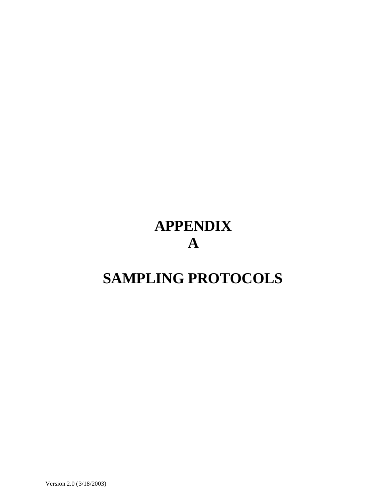# **APPENDIX A**

## **SAMPLING PROTOCOLS**

Version 2.0 (3/18/2003)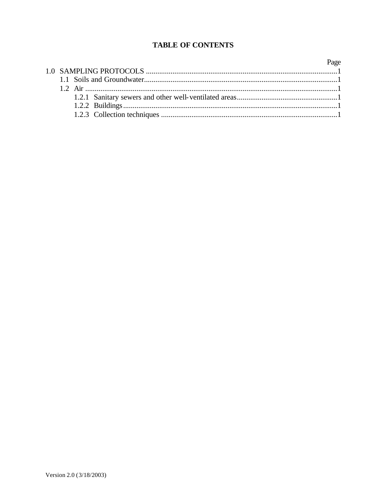### **TABLE OF CONTENTS**